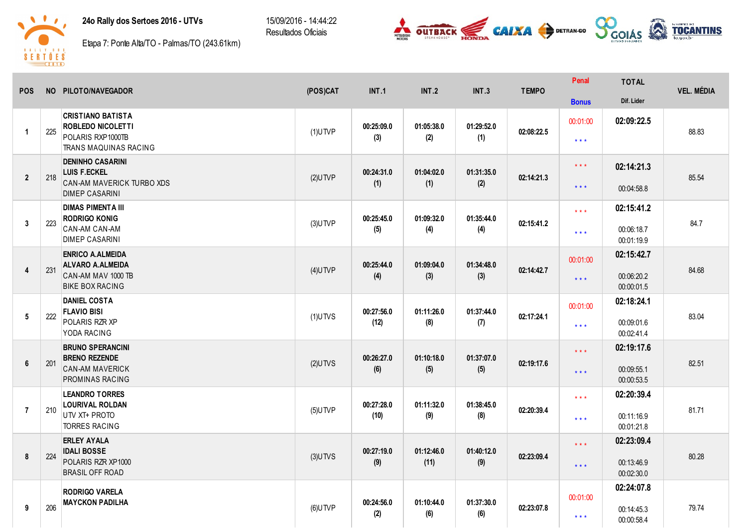## 24o Rally dos Sertoes 2016 - UTVs

15/09/2016 - 14:44:22 Resultados Oficiais





Etapa 7: Ponte Alta/TO - Palmas/TO (243.61km)

| <b>POS</b>           |     | NO PILOTO/NAVEGADOR                                                                                  | (POS)CAT   | <b>INT.1</b>       | INT.2              | <b>INT.3</b>      | <b>TEMPO</b> | Penal                                              | <b>TOTAL</b>                           | <b>VEL. MÉDIA</b> |
|----------------------|-----|------------------------------------------------------------------------------------------------------|------------|--------------------|--------------------|-------------------|--------------|----------------------------------------------------|----------------------------------------|-------------------|
|                      |     |                                                                                                      |            |                    |                    |                   |              | <b>Bonus</b>                                       | Dif. Lider                             |                   |
| $\blacktriangleleft$ | 225 | <b>CRISTIANO BATISTA</b><br><b>ROBLEDO NICOLETTI</b><br>POLARIS RXP1000TB<br>TRANS MAQUINAS RACING   | $(1)$ UTVP | 00:25:09.0<br>(3)  | 01:05:38.0<br>(2)  | 01:29:52.0<br>(1) | 02:08:22.5   | 00:01:00<br>$\star\star\star$                      | 02:09:22.5                             | 88.83             |
| $\overline{2}$       | 218 | <b>DENINHO CASARINI</b><br><b>LUIS F.ECKEL</b><br>CAN-AM MAVERICK TURBO XDS<br><b>DIMEP CASARINI</b> | $(2)$ UTVP | 00:24:31.0<br>(1)  | 01:04:02.0<br>(1)  | 01:31:35.0<br>(2) | 02:14:21.3   | $***$<br>$* * *$                                   | 02:14:21.3<br>00:04:58.8               | 85.54             |
| 3                    | 223 | <b>DIMAS PIMENTA III</b><br><b>RODRIGO KONIG</b><br>CAN-AM CAN-AM<br><b>DIMEP CASARINI</b>           | $(3)$ UTVP | 00:25:45.0<br>(5)  | 01:09:32.0<br>(4)  | 01:35:44.0<br>(4) | 02:15:41.2   | $\star$ $\star$ $\star$<br>$\star$ $\star$ $\star$ | 02:15:41.2<br>00:06:18.7<br>00:01:19.9 | 84.7              |
| $\overline{4}$       | 231 | <b>ENRICO A.ALMEIDA</b><br><b>ALVARO A.ALMEIDA</b><br>CAN-AM MAV 1000 TB<br><b>BIKE BOX RACING</b>   | $(4)$ UTVP | 00:25:44.0<br>(4)  | 01:09:04.0<br>(3)  | 01:34:48.0<br>(3) | 02:14:42.7   | 00:01:00<br>$***$                                  | 02:15:42.7<br>00:06:20.2<br>00:00:01.5 | 84.68             |
| $5\phantom{.0}$      | 222 | <b>DANIEL COSTA</b><br><b>FLAVIO BISI</b><br>POLARIS RZR XP<br>YODA RACING                           | $(1)$ UTVS | 00:27:56.0<br>(12) | 01:11:26.0<br>(8)  | 01:37:44.0<br>(7) | 02:17:24.1   | 00:01:00<br>$***$                                  | 02:18:24.1<br>00:09:01.6<br>00:02:41.4 | 83.04             |
| $6\phantom{1}$       | 201 | <b>BRUNO SPERANCINI</b><br><b>BRENO REZENDE</b><br><b>CAN-AM MAVERICK</b><br>PROMINAS RACING         | $(2)$ UTVS | 00:26:27.0<br>(6)  | 01:10:18.0<br>(5)  | 01:37:07.0<br>(5) | 02:19:17.6   | $***$<br>$***$                                     | 02:19:17.6<br>00:09:55.1<br>00:00:53.5 | 82.51             |
| $\overline{7}$       | 210 | <b>LEANDRO TORRES</b><br><b>LOURIVAL ROLDAN</b><br>UTV XT+ PROTO<br><b>TORRES RACING</b>             | $(5)$ UTVP | 00:27:28.0<br>(10) | 01:11:32.0<br>(9)  | 01:38:45.0<br>(8) | 02:20:39.4   | $\star \star \star$<br>$\star\star\star$           | 02:20:39.4<br>00:11:16.9<br>00:01:21.8 | 81.71             |
| 8                    | 224 | <b>ERLEY AYALA</b><br><b>IDALI BOSSE</b><br>POLARIS RZR XP1000<br><b>BRASIL OFF ROAD</b>             | $(3)$ UTVS | 00:27:19.0<br>(9)  | 01:12:46.0<br>(11) | 01:40:12.0<br>(9) | 02:23:09.4   | $***$<br>$***$                                     | 02:23:09.4<br>00:13:46.9<br>00:02:30.0 | 80.28             |
| 9                    | 206 | <b>RODRIGO VARELA</b><br><b>MAYCKON PADILHA</b>                                                      | $(6)$ UTVP | 00:24:56.0<br>(2)  | 01:10:44.0<br>(6)  | 01:37:30.0<br>(6) | 02:23:07.8   | 00:01:00<br>$***$                                  | 02:24:07.8<br>00:14:45.3<br>00:00:58.4 | 79.74             |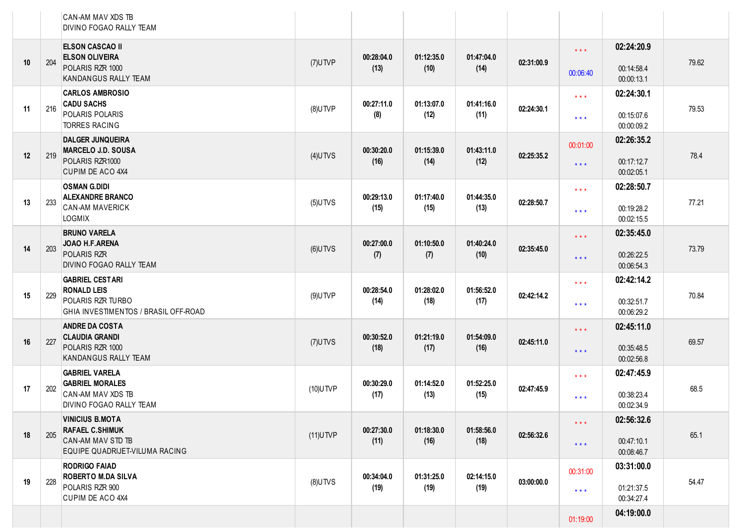|    |     | CAN-AM MAV XDS TB<br>DIVINO FOGAO RALLY TEAM                     |             |            |            |            |            |                         |                          |       |
|----|-----|------------------------------------------------------------------|-------------|------------|------------|------------|------------|-------------------------|--------------------------|-------|
|    |     | <b>ELSON CASCAO II</b><br><b>ELSON OLIVEIRA</b>                  |             | 00:28:04.0 | 01:12:35.0 | 01:47:04.0 |            | $\star$ $\star$ $\star$ | 02:24:20.9               |       |
| 10 | 204 | POLARIS RZR 1000<br>KANDANGUS RALLY TEAM                         | $(7)$ UTVP  | (13)       | (10)       | (14)       | 02:31:00.9 | 00:06:40                | 00:14:58.4<br>00:00:13.1 | 79.62 |
| 11 | 216 | <b>CARLOS AMBROSIO</b><br><b>CADU SACHS</b>                      | $(8)$ UTVP  | 00:27:11.0 | 01:13:07.0 | 01:41:16.0 | 02:24:30.1 | $***$                   | 02:24:30.1               | 79.53 |
|    |     | POLARIS POLARIS<br><b>TORRES RACING</b>                          |             | (8)        | (12)       | (11)       |            | $\star \star \star$     | 00:15:07.6<br>00:00:09.2 |       |
| 12 | 219 | <b>DALGER JUNQUEIRA</b><br><b>MARCELO J.D. SOUSA</b>             | $(4)$ UTVS  | 00:30:20.0 | 01:15:39.0 | 01:43:11.0 | 02:25:35.2 | 00:01:00                | 02:26:35.2               | 78.4  |
|    |     | POLARIS RZR1000<br>CUPIM DE ACO 4X4                              |             | (16)       | (14)       | (12)       |            | $***$                   | 00:17:12.7<br>00:02:05.1 |       |
|    |     | <b>OSMAN G.DIDI</b><br><b>ALEXANDRE BRANCO</b>                   |             | 00:29:13.0 | 01:17:40.0 | 01:44:35.0 |            | $***$                   | 02:28:50.7               |       |
| 13 | 233 | <b>CAN-AM MAVERICK</b><br>LOGMIX                                 | $(5)$ UTVS  | (15)       | (15)       | (13)       | 02:28:50.7 | $***$                   | 00:19:28.2<br>00:02:15.5 | 77.21 |
|    |     | <b>BRUNO VARELA</b><br>JOAO H.F.ARENA                            |             | 00:27:00.0 | 01:10:50.0 | 01:40:24.0 |            | $***$                   | 02:35:45.0               | 73.79 |
| 14 | 203 | POLARIS RZR<br>DIVINO FOGAO RALLY TEAM                           | $(6)$ UTVS  | (7)        | (7)        | (10)       | 02:35:45.0 | $\star$ $\star$ $\star$ | 00:26:22.5<br>00:06:54.3 |       |
|    |     | <b>GABRIEL CESTARI</b><br><b>RONALD LEIS</b>                     |             | 00:28:54.0 | 01:28:02.0 | 01:56:52.0 |            | $***$                   | 02:42:14.2               | 70.84 |
| 15 | 229 | POLARIS RZR TURBO<br><b>GHIA INVESTIMENTOS / BRASIL OFF-ROAD</b> | $(9)$ UTVP  | (14)       | (18)       | (17)       | 02:42:14.2 | $***$                   | 00:32:51.7<br>00:06:29.2 |       |
|    |     | <b>ANDRE DA COSTA</b><br><b>CLAUDIA GRANDI</b>                   |             | 00:30:52.0 | 01:21:19.0 | 01:54:09.0 |            | $***$                   | 02:45:11.0               |       |
| 16 | 227 | POLARIS RZR 1000<br>KANDANGUS RALLY TEAM                         | $(7)$ UTVS  | (18)       | (17)       | (16)       | 02:45:11.0 | $***$                   | 00:35:48.5<br>00:02:56.8 | 69.57 |
|    |     | <b>GABRIEL VARELA</b><br><b>GABRIEL MORALES</b>                  |             | 00:30:29.0 | 01:14:52.0 | 01:52:25.0 |            | $***$                   | 02:47:45.9               |       |
| 17 | 202 | CAN-AM MAV XDS TB<br>DIVINO FOGAO RALLY TEAM                     | $(10)$ UTVP | (17)       | (13)       | (15)       | 02:47:45.9 | $\star \star \star$     | 00:38:23.4<br>00:02:34.9 | 68.5  |
|    |     | <b>VINICIUS B.MOTA</b><br><b>RAFAEL C.SHIMUK</b>                 |             | 00:27:30.0 | 01:18:30.0 | 01:58:56.0 |            | $\star$ $\star$ $\star$ | 02:56:32.6               | 65.1  |
| 18 | 205 | CAN-AM MAV STD TB<br>EQUIPE QUADRIJET-VILUMA RACING              | $(11)$ UTVP | (11)       | (16)       | (18)       | 02:56:32.6 | $\star$ $\star$ $\star$ | 00:47:10.1<br>00:08:46.7 |       |
|    |     | <b>RODRIGO FAIAD</b><br><b>ROBERTO M.DA SILVA</b>                |             | 00:34:04.0 | 01:31:25.0 | 02:14:15.0 |            | 00:31:00                | 03:31:00.0               |       |
| 19 | 228 | POLARIS RZR 900<br>CUPIM DE ACO 4X4                              | $(8)$ UTVS  | (19)       | (19)       | (19)       | 03:00:00.0 | $\star$ $\star$ $\star$ | 01:21:37.5<br>00:34:27.4 | 54.47 |
|    |     |                                                                  |             |            |            |            |            | 01:19:00                | 04:19:00.0               |       |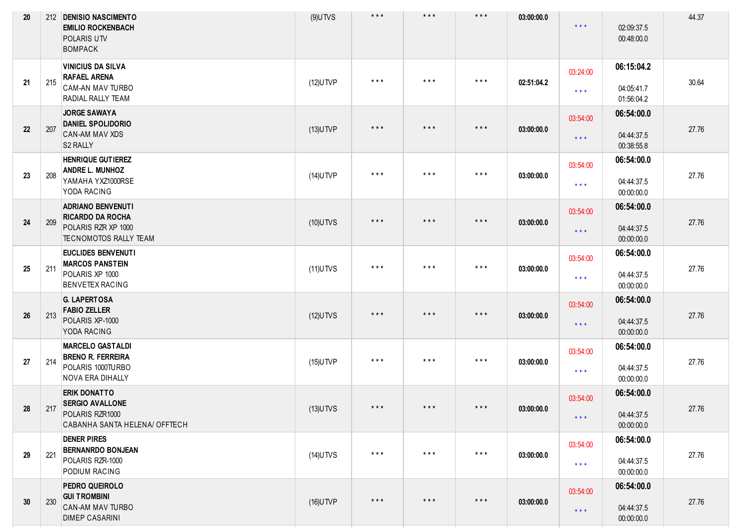| 20 |     | 212 DENISIO NASCIMENTO<br><b>EMILIO ROCKENBACH</b><br><b>POLARIS UTV</b><br><b>BOMPACK</b>                 | $(9)$ UTVS  | $***$   | $\star$ $\star$ $\star$ | $\star$ $\star$ $\star$ | 03:00:00.0 | $\star\star\star$               | 02:09:37.5<br>00:48:00.0               | 44.37 |
|----|-----|------------------------------------------------------------------------------------------------------------|-------------|---------|-------------------------|-------------------------|------------|---------------------------------|----------------------------------------|-------|
| 21 | 215 | <b>VINICIUS DA SILVA</b><br><b>RAFAEL ARENA</b><br><b>CAM-AN MAV TURBO</b><br><b>RADIAL RALLY TEAM</b>     | $(12)$ UTVP | $***$   | $\star$ $\star$ $\star$ | $***$                   | 02:51:04.2 | 03:24:00<br>$***$               | 06:15:04.2<br>04:05:41.7<br>01:56:04.2 | 30.64 |
| 22 | 207 | <b>JORGE SAWAYA</b><br><b>DANIEL SPOLIDORIO</b><br>CAN-AM MAV XDS<br>S2 RALLY                              | $(13)$ UTVP | $***$   | $***$                   | $\star$ $\star$ $\star$ | 03:00:00.0 | 03:54:00<br>$***$               | 06:54:00.0<br>04:44:37.5<br>00:38:55.8 | 27.76 |
| 23 | 208 | <b>HENRIQUE GUTIEREZ</b><br><b>ANDRE L. MUNHOZ</b><br>YAMAHA YXZ1000RSE<br>YODA RACING                     | $(14)$ UTVP | $* * *$ | $\star$ $\star$ $\star$ | $***$                   | 03:00:00.0 | 03:54:00<br>$***$               | 06:54:00.0<br>04:44:37.5<br>00:00:00.0 | 27.76 |
| 24 | 209 | <b>ADRIANO BENVENUTI</b><br><b>RICARDO DA ROCHA</b><br>POLARIS RZR XP 1000<br><b>TECNOMOTOS RALLY TEAM</b> | $(10)$ UTVS | $***$   | $***$                   | $\star$ $\star$ $\star$ | 03:00:00.0 | 03:54:00<br>$\star\star\star$   | 06:54:00.0<br>04:44:37.5<br>00:00:00.0 | 27.76 |
| 25 | 211 | <b>EUCLIDES BENVENUTI</b><br><b>MARCOS PANSTEIN</b><br>POLARIS XP 1000<br><b>BENVETEX RACING</b>           | $(11)$ UTVS | $***$   | $\star$ $\star$ $\star$ | $***$                   | 03:00:00.0 | 03:54:00<br>$***$               | 06:54:00.0<br>04:44:37.5<br>00:00:00.0 | 27.76 |
| 26 | 213 | <b>G. LAPERTOSA</b><br><b>FABIO ZELLER</b><br>POLARIS XP-1000<br>YODA RACING                               | $(12)$ UTVS | $***$   | $\star$ $\star$ $\star$ | $\star$ $\star$ $\star$ | 03:00:00.0 | 03:54:00<br>$\star\star\star$   | 06:54:00.0<br>04:44:37.5<br>00:00:00.0 | 27.76 |
| 27 | 214 | <b>MARCELO GASTALDI</b><br><b>BRENO R. FERREIRA</b><br>POLARIS 1000TURBO<br><b>NOVA ERA DIHALLY</b>        | $(15)$ UTVP | $***$   | $\star$ $\star$ $\star$ | $***$                   | 03:00:00.0 | 03:54:00<br>$***$               | 06:54:00.0<br>04:44:37.5<br>00:00:00.0 | 27.76 |
| 28 | 217 | <b>ERIK DONATTO</b><br><b>SERGIO AVALLONE</b><br>POLARIS RZR1000<br>CABANHA SANTA HELENA/ OFFTECH          | $(13)$ UTVS | $***$   | $\star$ $\star$ $\star$ | $***$                   | 03:00:00.0 | 03:54:00<br>$***$               | 06:54:00.0<br>04:44:37.5<br>00:00:00.0 | 27.76 |
| 29 | 221 | <b>DENER PIRES</b><br><b>BERNANRDO BONJEAN</b><br>POLARIS RZR-1000<br>PODIUM RACING                        | $(14)$ UTVS | $***$   | $\star$ $\star$ $\star$ | $***$                   | 03:00:00.0 | 03:54:00<br>$\star\star\star$   | 06:54:00.0<br>04:44:37.5<br>00:00:00.0 | 27.76 |
| 30 | 230 | PEDRO QUEIROLO<br><b>GUI TROMBINI</b><br><b>CAN-AM MAV TURBO</b><br><b>DIMEP CASARINI</b>                  | $(16)$ UTVP | $***$   | $\star$ $\star$ $\star$ | $\star$ $\star$ $\star$ | 03:00:00.0 | 03:54:00<br>$\star \star \star$ | 06:54:00.0<br>04:44:37.5<br>00:00:00.0 | 27.76 |